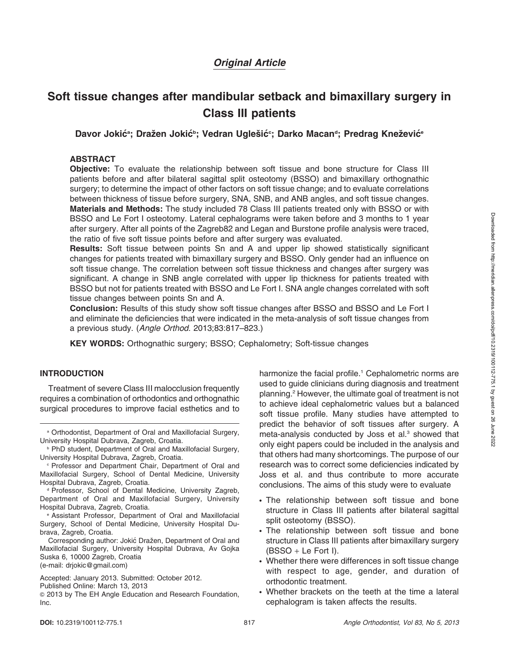# Original Article

# Soft tissue changes after mandibular setback and bimaxillary surgery in Class III patients

Davor Jokićª; Dražen Jokićʰ; Vedran Uglešić°; Darko Macanª; Predrag Knežević°

## ABSTRACT

**Objective:** To evaluate the relationship between soft tissue and bone structure for Class III patients before and after bilateral sagittal split osteotomy (BSSO) and bimaxillary orthognathic surgery; to determine the impact of other factors on soft tissue change; and to evaluate correlations between thickness of tissue before surgery, SNA, SNB, and ANB angles, and soft tissue changes. Materials and Methods: The study included 78 Class III patients treated only with BSSO or with BSSO and Le Fort I osteotomy. Lateral cephalograms were taken before and 3 months to 1 year after surgery. After all points of the Zagreb82 and Legan and Burstone profile analysis were traced, the ratio of five soft tissue points before and after surgery was evaluated.

Results: Soft tissue between points Sn and A and upper lip showed statistically significant changes for patients treated with bimaxillary surgery and BSSO. Only gender had an influence on soft tissue change. The correlation between soft tissue thickness and changes after surgery was significant. A change in SNB angle correlated with upper lip thickness for patients treated with BSSO but not for patients treated with BSSO and Le Fort I. SNA angle changes correlated with soft tissue changes between points Sn and A.

Conclusion: Results of this study show soft tissue changes after BSSO and BSSO and Le Fort I and eliminate the deficiencies that were indicated in the meta-analysis of soft tissue changes from a previous study. (Angle Orthod. 2013;83:817–823.)

KEY WORDS: Orthognathic surgery; BSSO; Cephalometry; Soft-tissue changes

# INTRODUCTION

Treatment of severe Class III malocclusion frequently requires a combination of orthodontics and orthognathic surgical procedures to improve facial esthetics and to

a Orthodontist, Department of Oral and Maxillofacial Surgery, University Hospital Dubrava, Zagreb, Croatia.

**PhD student, Department of Oral and Maxillofacial Surgery,** University Hospital Dubrava, Zagreb, Croatia.

<sup>c</sup> Professor and Department Chair, Department of Oral and Maxillofacial Surgery, School of Dental Medicine, University Hospital Dubrava, Zagreb, Croatia.

<sup>d</sup> Professor, School of Dental Medicine, University Zagreb, Department of Oral and Maxillofacial Surgery, University Hospital Dubrava, Zagreb, Croatia.

<sup>e</sup> Assistant Professor, Department of Oral and Maxillofacial Surgery, School of Dental Medicine, University Hospital Dubrava, Zagreb, Croatia.

Corresponding author: Jokić Dražen, Department of Oral and Maxillofacial Surgery, University Hospital Dubrava, Av Gojka Suska 6, 10000 Zagreb, Croatia (e-mail: drjokic@gmail.com)

Accepted: January 2013. Submitted: October 2012.

Published Online: March 13, 2013 <sup>G</sup> 2013 by The EH Angle Education and Research Foundation, Inc.

harmonize the facial profile.<sup>1</sup> Cephalometric norms are used to guide clinicians during diagnosis and treatment planning.2 However, the ultimate goal of treatment is not to achieve ideal cephalometric values but a balanced soft tissue profile. Many studies have attempted to predict the behavior of soft tissues after surgery. A meta-analysis conducted by Joss et al.<sup>3</sup> showed that only eight papers could be included in the analysis and that others had many shortcomings. The purpose of our research was to correct some deficiencies indicated by Joss et al. and thus contribute to more accurate conclusions. The aims of this study were to evaluate

- The relationship between soft tissue and bone structure in Class III patients after bilateral sagittal split osteotomy (BSSO).
- The relationship between soft tissue and bone structure in Class III patients after bimaxillary surgery  $(BSSO + Le$  Fort I).
- Whether there were differences in soft tissue change with respect to age, gender, and duration of orthodontic treatment.
- Whether brackets on the teeth at the time a lateral cephalogram is taken affects the results.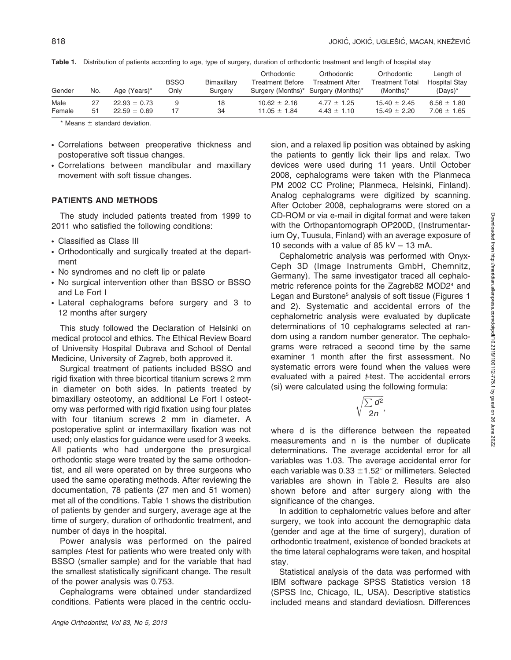| Gender | No. | Age (Years)*     | <b>BSSO</b><br>Onlv | Bimaxillary<br>Surgery | Orthodontic<br><b>Treatment Before</b><br>Surgery (Months)* Surgery (Months)* | Orthodontic<br><b>Treatment After</b> | Orthodontic<br><b>Treatment Total</b><br>$(Months)^*$ | Length of<br>Hospital Stay<br>$(Days)^*$ |
|--------|-----|------------------|---------------------|------------------------|-------------------------------------------------------------------------------|---------------------------------------|-------------------------------------------------------|------------------------------------------|
| Male   | 27  | $22.93 \pm 0.73$ | 9                   | 18                     | $10.62 \pm 2.16$                                                              | $4.77 \pm 1.25$                       | $15.40 \pm 2.45$                                      | $6.56 \pm 1.80$                          |
| Female | 51  | $22.59 \pm 0.69$ | 17                  | 34                     | $11.05 \pm 1.84$                                                              | $4.43 \pm 1.10$                       | $15.49 \pm 2.20$                                      | $7.06 \pm 1.65$                          |

Table 1. Distribution of patients according to age, type of surgery, duration of orthodontic treatment and length of hospital stay

 $*$  Means  $\pm$  standard deviation.

- Correlations between preoperative thickness and postoperative soft tissue changes.
- Correlations between mandibular and maxillary movement with soft tissue changes.

#### PATIENTS AND METHODS

The study included patients treated from 1999 to 2011 who satisfied the following conditions:

- Classified as Class III
- Orthodontically and surgically treated at the department
- No syndromes and no cleft lip or palate
- No surgical intervention other than BSSO or BSSO and Le Fort I
- Lateral cephalograms before surgery and 3 to 12 months after surgery

This study followed the Declaration of Helsinki on medical protocol and ethics. The Ethical Review Board of University Hospital Dubrava and School of Dental Medicine, University of Zagreb, both approved it.

Surgical treatment of patients included BSSO and rigid fixation with three bicortical titanium screws 2 mm in diameter on both sides. In patients treated by bimaxillary osteotomy, an additional Le Fort I osteotomy was performed with rigid fixation using four plates with four titanium screws 2 mm in diameter. A postoperative splint or intermaxillary fixation was not used; only elastics for guidance were used for 3 weeks. All patients who had undergone the presurgical orthodontic stage were treated by the same orthodontist, and all were operated on by three surgeons who used the same operating methods. After reviewing the documentation, 78 patients (27 men and 51 women) met all of the conditions. Table 1 shows the distribution of patients by gender and surgery, average age at the time of surgery, duration of orthodontic treatment, and number of days in the hospital.

Power analysis was performed on the paired samples *t*-test for patients who were treated only with BSSO (smaller sample) and for the variable that had the smallest statistically significant change. The result of the power analysis was 0.753.

Cephalograms were obtained under standardized conditions. Patients were placed in the centric occlusion, and a relaxed lip position was obtained by asking the patients to gently lick their lips and relax. Two devices were used during 11 years. Until October 2008, cephalograms were taken with the Planmeca PM 2002 CC Proline; Planmeca, Helsinki, Finland). Analog cephalograms were digitized by scanning. After October 2008, cephalograms were stored on a CD-ROM or via e-mail in digital format and were taken with the Orthopantomograph OP200D, (Instrumentarium Oy, Tuusula, Finland) with an average exposure of 10 seconds with a value of 85 kV – 13 mA.

Cephalometric analysis was performed with Onyx-Ceph 3D (Image Instruments GmbH, Chemnitz, Germany). The same investigator traced all cephalometric reference points for the Zagreb82 MOD2<sup>4</sup> and Legan and Burstone<sup>5</sup> analysis of soft tissue (Figures 1 and 2). Systematic and accidental errors of the cephalometric analysis were evaluated by duplicate determinations of 10 cephalograms selected at random using a random number generator. The cephalograms were retraced a second time by the same examiner 1 month after the first assessment. No systematic errors were found when the values were evaluated with a paired *t*-test. The accidental errors (si) were calculated using the following formula:

$$
\sqrt{\frac{\sum d^2}{2n}},
$$

where d is the difference between the repeated measurements and n is the number of duplicate determinations. The average accidental error for all variables was 1.03. The average accidental error for each variable was  $0.33 \pm 1.52^{\circ}$  or millimeters. Selected variables are shown in Table 2. Results are also shown before and after surgery along with the significance of the changes.

In addition to cephalometric values before and after surgery, we took into account the demographic data (gender and age at the time of surgery), duration of orthodontic treatment, existence of bonded brackets at the time lateral cephalograms were taken, and hospital stay.

Statistical analysis of the data was performed with IBM software package SPSS Statistics version 18 (SPSS Inc, Chicago, IL, USA). Descriptive statistics included means and standard deviatiosn. Differences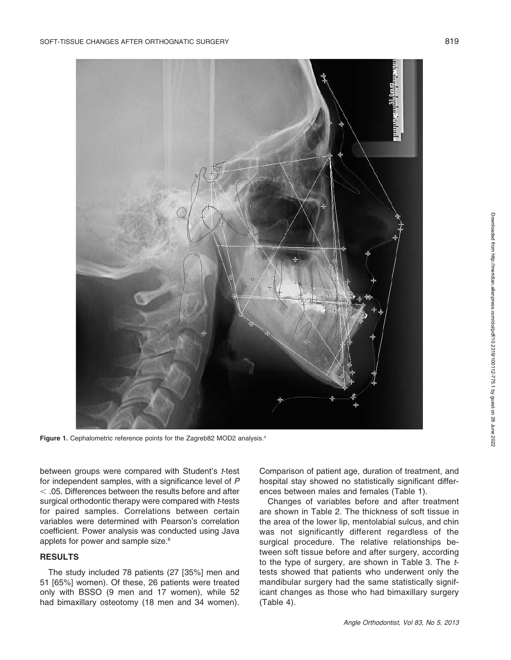

Figure 1. Cephalometric reference points for the Zagreb82 MOD2 analysis.<sup>4</sup>

between groups were compared with Student's t-test for independent samples, with a significance level of P  $<$  .05. Differences between the results before and after surgical orthodontic therapy were compared with t-tests for paired samples. Correlations between certain variables were determined with Pearson's correlation coefficient. Power analysis was conducted using Java applets for power and sample size.<sup>6</sup>

#### **RESULTS**

The study included 78 patients (27 [35%] men and 51 [65%] women). Of these, 26 patients were treated only with BSSO (9 men and 17 women), while 52 had bimaxillary osteotomy (18 men and 34 women). Comparison of patient age, duration of treatment, and hospital stay showed no statistically significant differences between males and females (Table 1).

Changes of variables before and after treatment are shown in Table 2. The thickness of soft tissue in the area of the lower lip, mentolabial sulcus, and chin was not significantly different regardless of the surgical procedure. The relative relationships between soft tissue before and after surgery, according to the type of surgery, are shown in Table 3. The ttests showed that patients who underwent only the mandibular surgery had the same statistically significant changes as those who had bimaxillary surgery (Table 4).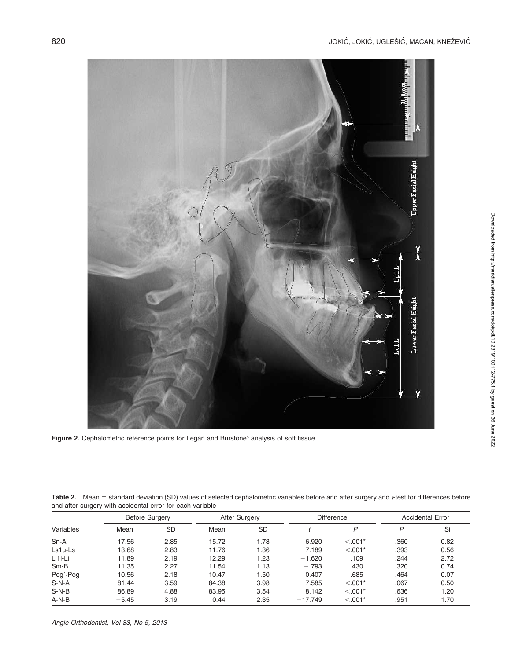

Figure 2. Cephalometric reference points for Legan and Burstone<sup>5</sup> analysis of soft tissue.

Table 2. Mean  $\pm$  standard deviation (SD) values of selected cephalometric variables before and after surgery and t-test for differences before and after surgery with accidental error for each variable

|           | <b>Before Surgery</b> |           | After Surgery |           |           | <b>Difference</b> |      | <b>Accidental Error</b> |  |
|-----------|-----------------------|-----------|---------------|-----------|-----------|-------------------|------|-------------------------|--|
| Variables | Mean                  | <b>SD</b> | Mean          | <b>SD</b> |           | P                 | P    | Si                      |  |
| $Sn-A$    | 17.56                 | 2.85      | 15.72         | 1.78      | 6.920     | $< 0.001*$        | .360 | 0.82                    |  |
| $Ls1u-Ls$ | 13.68                 | 2.83      | 11.76         | 1.36      | 7.189     | $< 0.001*$        | .393 | 0.56                    |  |
| Li1I-Li   | 11.89                 | 2.19      | 12.29         | 1.23      | $-1.620$  | .109              | .244 | 2.72                    |  |
| $Sm-B$    | 11.35                 | 2.27      | 11.54         | 1.13      | $-.793$   | .430              | .320 | 0.74                    |  |
| Pog'-Pog  | 10.56                 | 2.18      | 10.47         | 1.50      | 0.407     | .685              | .464 | 0.07                    |  |
| $S-N-A$   | 81.44                 | 3.59      | 84.38         | 3.98      | $-7.585$  | $< 0.001*$        | .067 | 0.50                    |  |
| $S-N-B$   | 86.89                 | 4.88      | 83.95         | 3.54      | 8.142     | $< 0.001*$        | .636 | 1.20                    |  |
| $A-N-B$   | $-5.45$               | 3.19      | 0.44          | 2.35      | $-17.749$ | $< 0.001*$        | .951 | 1.70                    |  |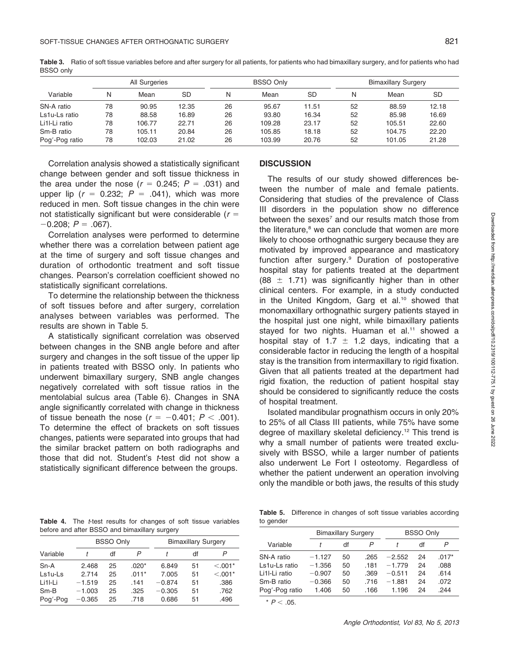| All Surgeries  |    |        |           | <b>BSSO Only</b> |        | <b>Bimaxillary Surgery</b> |    |        |       |
|----------------|----|--------|-----------|------------------|--------|----------------------------|----|--------|-------|
| Variable       | N  | Mean   | <b>SD</b> | N                | Mean   | SD                         | Ν  | Mean   | SD    |
| SN-A ratio     | 78 | 90.95  | 12.35     | 26               | 95.67  | 11.51                      | 52 | 88.59  | 12.18 |
| Ls1u-Ls ratio  | 78 | 88.58  | 16.89     | 26               | 93.80  | 16.34                      | 52 | 85.98  | 16.69 |
| Li1I-Li ratio  | 78 | 106.77 | 22.71     | 26               | 109.28 | 23.17                      | 52 | 105.51 | 22.60 |
| Sm-B ratio     | 78 | 105.11 | 20.84     | 26               | 105.85 | 18.18                      | 52 | 104.75 | 22.20 |
| Pog'-Pog ratio | 78 | 102.03 | 21.02     | 26               | 103.99 | 20.76                      | 52 | 101.05 | 21.28 |

Table 3. Ratio of soft tissue variables before and after surgery for all patients, for patients who had bimaxillary surgery, and for patients who had BSSO only

Correlation analysis showed a statistically significant change between gender and soft tissue thickness in the area under the nose ( $r = 0.245$ ;  $P = .031$ ) and upper lip  $(r = 0.232; P = .041)$ , which was more reduced in men. Soft tissue changes in the chin were not statistically significant but were considerable  $(r =$  $-0.208; P = .067$ ).

Correlation analyses were performed to determine whether there was a correlation between patient age at the time of surgery and soft tissue changes and duration of orthodontic treatment and soft tissue changes. Pearson's correlation coefficient showed no statistically significant correlations.

To determine the relationship between the thickness of soft tissues before and after surgery, correlation analyses between variables was performed. The results are shown in Table 5.

A statistically significant correlation was observed between changes in the SNB angle before and after surgery and changes in the soft tissue of the upper lip in patients treated with BSSO only. In patients who underwent bimaxillary surgery, SNB angle changes negatively correlated with soft tissue ratios in the mentolabial sulcus area (Table 6). Changes in SNA angle significantly correlated with change in thickness of tissue beneath the nose  $(r = -0.401; P < .001)$ . To determine the effect of brackets on soft tissues changes, patients were separated into groups that had the similar bracket pattern on both radiographs and those that did not. Student's t-test did not show a statistically significant difference between the groups.

#### **DISCUSSION**

The results of our study showed differences between the number of male and female patients. Considering that studies of the prevalence of Class III disorders in the population show no difference between the sexes<sup>7</sup> and our results match those from the literature, $8$  we can conclude that women are more likely to choose orthognathic surgery because they are motivated by improved appearance and masticatory function after surgery.9 Duration of postoperative hospital stay for patients treated at the department (88  $\pm$  1.71) was significantly higher than in other clinical centers. For example, in a study conducted in the United Kingdom, Garg et al.<sup>10</sup> showed that monomaxillary orthognathic surgery patients stayed in the hospital just one night, while bimaxillary patients stayed for two nights. Huaman et al.<sup>11</sup> showed a hospital stay of 1.7  $\pm$  1.2 days, indicating that a considerable factor in reducing the length of a hospital stay is the transition from intermaxillary to rigid fixation. Given that all patients treated at the department had rigid fixation, the reduction of patient hospital stay should be considered to significantly reduce the costs of hospital treatment.

Isolated mandibular prognathism occurs in only 20% to 25% of all Class III patients, while 75% have some degree of maxillary skeletal deficiency.<sup>12</sup> This trend is why a small number of patients were treated exclusively with BSSO, while a larger number of patients also underwent Le Fort I osteotomy. Regardless of whether the patient underwent an operation involving only the mandible or both jaws, the results of this study

Table 4. The *t*-test results for changes of soft tissue variables before and after BSSO and bimaxillary surgery

|          |          | <b>BSSO Only</b> |         |          | <b>Bimaxillary Surgery</b> |            |  |  |
|----------|----------|------------------|---------|----------|----------------------------|------------|--|--|
| Variable |          | df               | P       |          | df                         | P          |  |  |
| $Sn-A$   | 2.468    | 25               | $.020*$ | 6.849    | 51                         | $< 0.001*$ |  |  |
| Ls1u-Ls  | 2.714    | 25               | $.011*$ | 7.005    | 51                         | $< 0.001*$ |  |  |
| Li1I-Li  | $-1.519$ | 25               | .141    | $-0.874$ | 51                         | .386       |  |  |
| $Sm-B$   | $-1.003$ | 25               | .325    | $-0.305$ | 51                         | .762       |  |  |
| Pog'-Pog | $-0.365$ | 25               | .718    | 0.686    | 51                         | .496       |  |  |

Table 5. Difference in changes of soft tissue variables according to gender

| $\sim$         |                            |    |      |                  |    |         |  |
|----------------|----------------------------|----|------|------------------|----|---------|--|
|                | <b>Bimaxillary Surgery</b> |    |      | <b>BSSO Only</b> |    |         |  |
| Variable       |                            | df | P    |                  | df | P       |  |
| SN-A ratio     | $-1.127$                   | 50 | .265 | $-2.552$         | 24 | $.017*$ |  |
| Ls1u-Ls ratio  | $-1.356$                   | 50 | .181 | $-1.779$         | 24 | .088    |  |
| Li1l-Li ratio  | $-0.907$                   | 50 | .369 | $-0.511$         | 24 | .614    |  |
| Sm-B ratio     | $-0.366$                   | 50 | .716 | $-1.881$         | 24 | .072    |  |
| Pog'-Pog ratio | 1.406                      | 50 | .166 | 1.196            | 24 | .244    |  |
|                |                            |    |      |                  |    |         |  |

 $*$   $P < .05$ .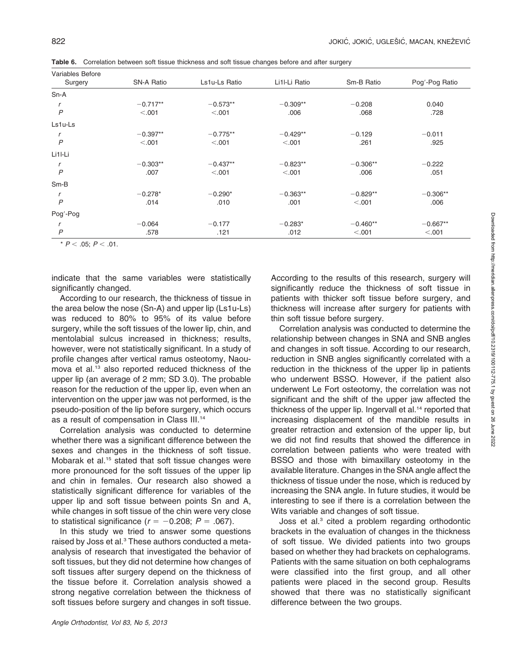| <b>Variables Before</b> |            |               |               |            |                |  |  |  |  |
|-------------------------|------------|---------------|---------------|------------|----------------|--|--|--|--|
| Surgery                 | SN-A Ratio | Ls1u-Ls Ratio | Li1I-Li Ratio | Sm-B Ratio | Pog'-Pog Ratio |  |  |  |  |
| $Sn-A$                  |            |               |               |            |                |  |  |  |  |
|                         | $-0.717**$ | $-0.573**$    | $-0.309**$    | $-0.208$   | 0.040          |  |  |  |  |
| $\overline{P}$          | < 0.001    | < .001        | .006          | .068       | .728           |  |  |  |  |
| Ls1u-Ls                 |            |               |               |            |                |  |  |  |  |
|                         | $-0.397**$ | $-0.775**$    | $-0.429**$    | $-0.129$   | $-0.011$       |  |  |  |  |
| $\overline{P}$          | < .001     | < .001        | < 0.001       | .261       | .925           |  |  |  |  |
| Li1l-Li                 |            |               |               |            |                |  |  |  |  |
|                         | $-0.303**$ | $-0.437**$    | $-0.823**$    | $-0.306**$ | $-0.222$       |  |  |  |  |
| $\overline{P}$          | .007       | < .001        | < .001        | .006       | .051           |  |  |  |  |
| $Sm-B$                  |            |               |               |            |                |  |  |  |  |
|                         | $-0.278*$  | $-0.290*$     | $-0.363**$    | $-0.829**$ | $-0.306**$     |  |  |  |  |
| $\overline{P}$          | .014       | .010          | .001          | < .001     | .006           |  |  |  |  |
| Pog'-Pog                |            |               |               |            |                |  |  |  |  |
|                         | $-0.064$   | $-0.177$      | $-0.283*$     | $-0.460**$ | $-0.667**$     |  |  |  |  |
| $\overline{P}$          | .578       | .121          | .012          | < .001     | < .001         |  |  |  |  |

Table 6. Correlation between soft tissue thickness and soft tissue changes before and after surgery

\*  $P < .05; P < .01$ .

indicate that the same variables were statistically significantly changed.

According to our research, the thickness of tissue in the area below the nose (Sn-A) and upper lip (Ls1u-Ls) was reduced to 80% to 95% of its value before surgery, while the soft tissues of the lower lip, chin, and mentolabial sulcus increased in thickness; results, however, were not statistically significant. In a study of profile changes after vertical ramus osteotomy, Naoumova et al.<sup>13</sup> also reported reduced thickness of the upper lip (an average of 2 mm; SD 3.0). The probable reason for the reduction of the upper lip, even when an intervention on the upper jaw was not performed, is the pseudo-position of the lip before surgery, which occurs as a result of compensation in Class III.14

Correlation analysis was conducted to determine whether there was a significant difference between the sexes and changes in the thickness of soft tissue. Mobarak et al.<sup>15</sup> stated that soft tissue changes were more pronounced for the soft tissues of the upper lip and chin in females. Our research also showed a statistically significant difference for variables of the upper lip and soft tissue between points Sn and A, while changes in soft tissue of the chin were very close to statistical significance ( $r = -0.208$ ;  $P = .067$ ).

In this study we tried to answer some questions raised by Joss et al.<sup>3</sup> These authors conducted a metaanalysis of research that investigated the behavior of soft tissues, but they did not determine how changes of soft tissues after surgery depend on the thickness of the tissue before it. Correlation analysis showed a strong negative correlation between the thickness of soft tissues before surgery and changes in soft tissue. According to the results of this research, surgery will significantly reduce the thickness of soft tissue in patients with thicker soft tissue before surgery, and thickness will increase after surgery for patients with thin soft tissue before surgery.

Correlation analysis was conducted to determine the relationship between changes in SNA and SNB angles and changes in soft tissue. According to our research, reduction in SNB angles significantly correlated with a reduction in the thickness of the upper lip in patients who underwent BSSO. However, if the patient also underwent Le Fort osteotomy, the correlation was not significant and the shift of the upper jaw affected the thickness of the upper lip. Ingervall et al.<sup>14</sup> reported that increasing displacement of the mandible results in greater retraction and extension of the upper lip, but we did not find results that showed the difference in correlation between patients who were treated with BSSO and those with bimaxillary osteotomy in the available literature. Changes in the SNA angle affect the thickness of tissue under the nose, which is reduced by increasing the SNA angle. In future studies, it would be interesting to see if there is a correlation between the Wits variable and changes of soft tissue.

Joss et al.<sup>3</sup> cited a problem regarding orthodontic brackets in the evaluation of changes in the thickness of soft tissue. We divided patients into two groups based on whether they had brackets on cephalograms. Patients with the same situation on both cephalograms were classified into the first group, and all other patients were placed in the second group. Results showed that there was no statistically significant difference between the two groups.